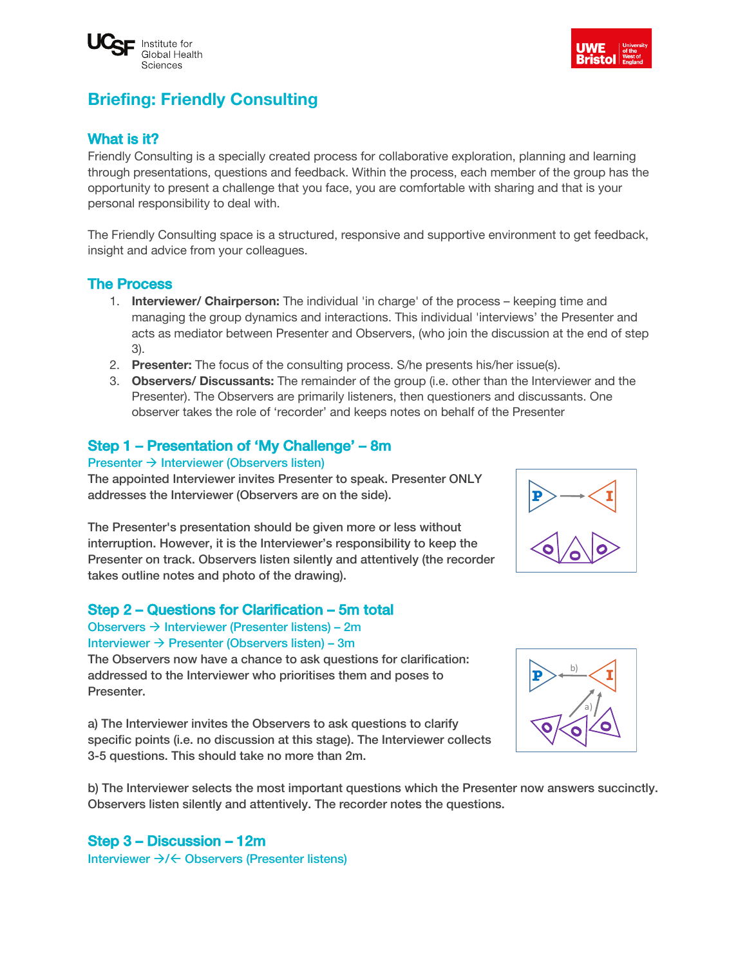



# **Briefing: Friendly Consulting**

### What is it?

Friendly Consulting is a specially created process for collaborative exploration, planning and learning through presentations, questions and feedback. Within the process, each member of the group has the opportunity to present a challenge that you face, you are comfortable with sharing and that is your personal responsibility to deal with.

The Friendly Consulting space is a structured, responsive and supportive environment to get feedback, insight and advice from your colleagues.

#### The Process

- 1. **Interviewer/ Chairperson:** The individual 'in charge' of the process keeping time and managing the group dynamics and interactions. This individual 'interviews' the Presenter and acts as mediator between Presenter and Observers, (who join the discussion at the end of step 3).
- 2. **Presenter:** The focus of the consulting process. S/he presents his/her issue(s).
- 3. **Observers/ Discussants:** The remainder of the group (i.e. other than the Interviewer and the Presenter). The Observers are primarily listeners, then questioners and discussants. One observer takes the role of 'recorder' and keeps notes on behalf of the Presenter

#### Step 1 – Presentation of 'My Challenge' – 8m

#### Presenter  $\rightarrow$  Interviewer (Observers listen)

The appointed Interviewer invites Presenter to speak. Presenter ONLY addresses the Interviewer (Observers are on the side).

The Presenter's presentation should be given more or less without interruption. However, it is the Interviewer's responsibility to keep the Presenter on track. Observers listen silently and attentively (the recorder takes outline notes and photo of the drawing).

#### Step 2 – Questions for Clarification – 5m total

Observers  $\rightarrow$  Interviewer (Presenter listens) – 2m Interviewer  $\rightarrow$  Presenter (Observers listen) – 3m

The Observers now have a chance to ask questions for clarification: addressed to the Interviewer who prioritises them and poses to Presenter.

a) The Interviewer invites the Observers to ask questions to clarify specific points (i.e. no discussion at this stage). The Interviewer collects 3-5 questions. This should take no more than 2m.

b) The Interviewer selects the most important questions which the Presenter now answers succinctly. Observers listen silently and attentively. The recorder notes the questions.

### Step 3 – Discussion – 12m

Interviewer  $\rightarrow$ / $\leftarrow$  Observers (Presenter listens)



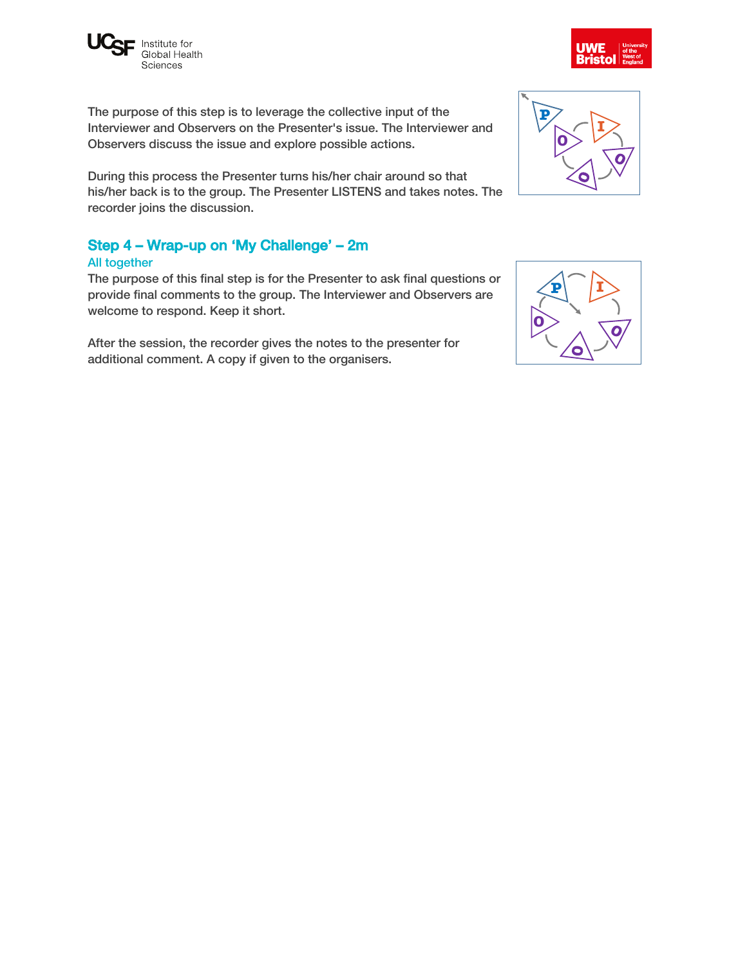

The purpose of this step is to leverage the collective input of the Interviewer and Observers on the Presenter's issue. The Interviewer and Observers discuss the issue and explore possible actions.

During this process the Presenter turns his/her chair around so that his/her back is to the group. The Presenter LISTENS and takes notes. The recorder joins the discussion.

### Step 4 – Wrap-up on 'My Challenge' – 2m

#### All together

The purpose of this final step is for the Presenter to ask final questions or provide final comments to the group. The Interviewer and Observers are welcome to respond. Keep it short.

After the session, the recorder gives the notes to the presenter for additional comment. A copy if given to the organisers.





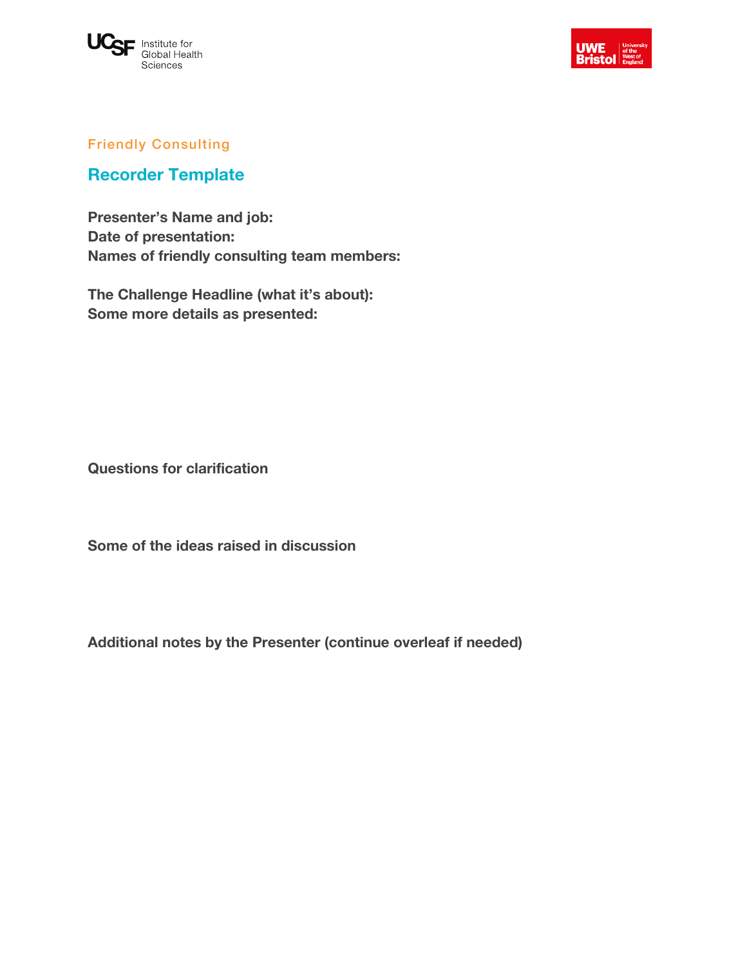



### Friendly Consulting

## **Recorder Template**

**Presenter's Name and job: Date of presentation: Names of friendly consulting team members:** 

**The Challenge Headline (what it's about): Some more details as presented:**

**Questions for clarification**

**Some of the ideas raised in discussion**

**Additional notes by the Presenter (continue overleaf if needed)**